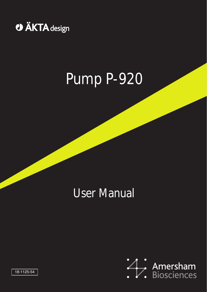

# Pump P-920

# User Manual



18-1125-54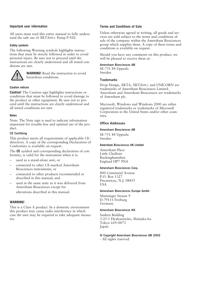#### **Important user information**

All users must read this entire manual to fully understand the safe use of ÄKTAFPLC Pump P-920.

#### **Safety symbols**

The following Warning symbols highlights instructions that must be strictly followed in order to avoid personal injury. Be sure not to proceed until the instructions are clearly understood and all stated conditions are met.



**WARNING!** Read the instruction to avoid hazardous conditions.

#### **Caution notices**

**Caution!** The Caution sign highlights instructions or conditions that must be followed to avoid damage to the product or other equipment. Be sure not to proceed until the instructions are clearly understood and all stated conditions are met.

#### **Notes**

Note: The Note sign is used to indicate information important for trouble-free and optimal use of the product.

#### **CE Certifying**

This product meets all requirements of applicable CEdirectives. A copy of the corresponding Declaration of Conformity is available on request.

The **CE** symbol and corresponding declaration of conformity, is valid for the instrument when it is:

- used as a stand-alone unit, or
- connected to other CE-marked Amersham Biosciences instruments, or
- connected to other products recommended or described in this manual, and
- used in the same state as it was delivered from Amersham Biosciences except for

alterations described in this manual.

#### **WARNING!**

This is a Class A product. In a domestic environment this product may cause radio interference in which case the user may be required to take adequate measures.

#### **Terms and Conditions of Sale**

Unless otherwise agreed in writing, all goods and services are sold subject to the terms and conditions of sale of the company within the Amersham Biosciences group which supplies them. A copy of these terms and conditions is available on request.

Should you have any comments on this product, we will be pleased to receive them at:

#### **Amersham Biosciences AB**

SE-751 84 Uppsala Sweden

#### **Trademarks**

Drop Design, ÄKTA, ÄKTAFPLC and UNICORN are trademarks of Amersham Biosciences Limited. Amersham and Amersham Biosciences are trademarks of Amersham plc.

Microsoft, Windows and Windows 2000 are either registered trademarks or trademarks of Microsoft Corporation in the United States and/or other countries.

#### **Office Addresses**

#### **Amersham Biosciences AB**

SE-751 84 Uppsala Sweden

#### **Amersham Biosciences UK Limited**

Amersham Place Little Chalfont Buckinghamshire England HP7 9NA

#### **Amersham Biosciences Corp.**

800 Centennial Avenue P.O. Box 1327 Piscataway, N.J. 08855 USA

#### **Amersham Biosciences Europe Gmbh**

Munzinger Strasse 9 D-79111 Freiburg Germany

#### **Amersham Biosciences KK**

Sanken Building 3-25-1 Hyakunincho, Shinjuku-ku Tokyo 169–0073 Japan

#### **© Copyright Amersham Biosciences AB 2002**

- All rights reserved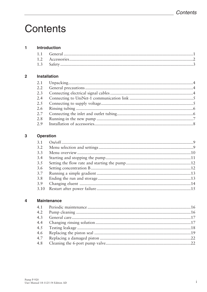# **Contents**

#### $\mathbf{1}$ Introduction

#### $\overline{\mathbf{2}}$ Installation

#### Operation  $\overline{3}$

#### $\overline{\mathbf{4}}$ **Maintenance**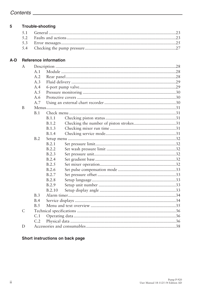| 5   |     | <b>Trouble-shooting</b> |                              |  |  |  |  |
|-----|-----|-------------------------|------------------------------|--|--|--|--|
|     | 5.1 |                         |                              |  |  |  |  |
|     | 5.2 |                         |                              |  |  |  |  |
|     | 5.3 |                         |                              |  |  |  |  |
|     | 5.4 |                         |                              |  |  |  |  |
|     |     |                         |                              |  |  |  |  |
| A-D |     |                         | <b>Reference information</b> |  |  |  |  |
|     | A   |                         |                              |  |  |  |  |
|     |     | A.1                     |                              |  |  |  |  |
|     |     | A.2                     |                              |  |  |  |  |
|     |     | A.3                     |                              |  |  |  |  |
|     |     | A.4                     |                              |  |  |  |  |
|     |     | A.5                     |                              |  |  |  |  |
|     |     | A.6                     |                              |  |  |  |  |
|     |     | A.7                     |                              |  |  |  |  |
|     | B   |                         |                              |  |  |  |  |
|     |     | B.1                     |                              |  |  |  |  |
|     |     |                         | B.1.1                        |  |  |  |  |
|     |     |                         | B.1.2                        |  |  |  |  |
|     |     |                         | <b>B.1.3</b>                 |  |  |  |  |
|     |     |                         | B.1.4                        |  |  |  |  |
|     |     | B.2                     |                              |  |  |  |  |
|     |     |                         | B.2.1                        |  |  |  |  |
|     |     |                         | B.2.2                        |  |  |  |  |
|     |     |                         | B.2.3                        |  |  |  |  |
|     |     |                         | B.2.4                        |  |  |  |  |
|     |     |                         | B.2.5                        |  |  |  |  |
|     |     |                         | B.2.6                        |  |  |  |  |
|     |     |                         | B.2.7                        |  |  |  |  |
|     |     |                         | B.2.8                        |  |  |  |  |
|     |     |                         | B.2.9                        |  |  |  |  |
|     |     |                         | B.2.10                       |  |  |  |  |
|     |     | B.3                     |                              |  |  |  |  |
|     |     | B.4                     |                              |  |  |  |  |
|     |     | B.5                     |                              |  |  |  |  |
|     | C   |                         |                              |  |  |  |  |
|     |     | C.1                     |                              |  |  |  |  |
|     |     | C.2                     |                              |  |  |  |  |
|     | D   |                         |                              |  |  |  |  |

## Short instructions on back page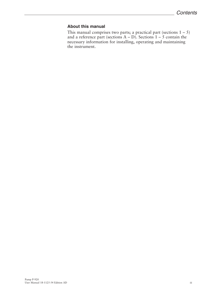### **About this manual**

This manual comprises two parts; a practical part (sections  $1 - 5$ ) and a reference part (sections  $A - D$ ). Sections  $1 - 5$  contain the necessary information for installing, operating and maintaining the instrument.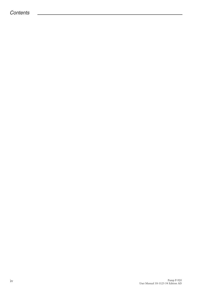**Contents**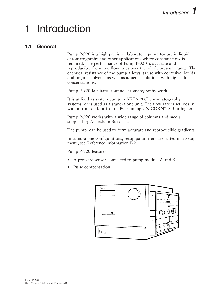# 1 Introduction

# **1.1 General**

Pump P-920 is a high precision laboratory pump for use in liquid chromatography and other applications where constant flow is required. The performance of Pump P-920 is accurate and reproducible from low flow rates over the whole pressure range. The chemical resistance of the pump allows its use with corrosive liquids and organic solvents as well as aqueous solutions with high salt concentrations.

Pump P-920 facilitates routine chromatography work.

It is utilised as system pump in ÄKTAFPLC™ chromatography systems, or is used as a stand-alone unit. The flow rate is set locally with a front dial, or from a PC running  $UNICORN^M$  3.0 or higher.

Pump P-920 works with a wide range of columns and media supplied by Amersham Biosciences.

The pump can be used to form accurate and reproducible gradients.

In stand-alone configurations, setup parameters are stated in a Setup menu, see Reference information B.2.

Pump P-920 features:

- A pressure sensor connected to pump module A and B.
- Pulse compensation

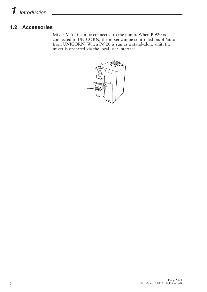# **1.2 Accessories**

Mixer M-925 can be connected to the pump. When P-920 is connected to UNICORN, the mixer can be controlled on/off/auto from UNICORN. When P-920 is run as a stand-alone unit, the mixer is operated via the local user interface.

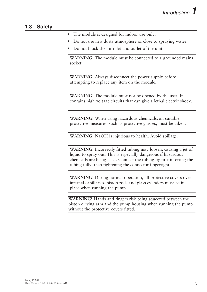## **1.3 Safety**

- The module is designed for indoor use only.
- Do not use in a dusty atmosphere or close to spraying water.
- Do not block the air inlet and outlet of the unit.

**WARNING!** The module must be connected to a grounded mains socket.

**WARNING!** Always disconnect the power supply before attempting to replace any item on the module.

**WARNING!** The module must not be opened by the user. It contains high voltage circuits that can give a lethal electric shock.

**WARNING!** When using hazardous chemicals, all suitable protective measures, such as protective glasses, must be taken.

**WARNING!** NaOH is injurious to health. Avoid spillage.

**WARNING!** Incorrectly fitted tubing may loosen, causing a jet of liquid to spray out. This is especially dangerous if hazardous chemicals are being used. Connect the tubing by first inserting the tubing fully, then tightening the connector fingertight.

**WARNING!** During normal operation, all protective covers over internal capillaries, piston rods and glass cylinders must be in place when running the pump.

**WARNING!** Hands and fingers risk being squeezed between the piston driving arm and the pump housing when running the pump without the protective covers fitted.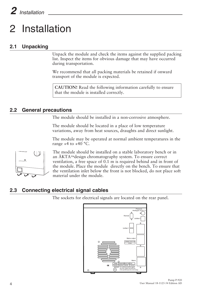# 2 Installation

# **2.1 Unpacking**

Unpack the module and check the items against the supplied packing list. Inspect the items for obvious damage that may have occurred during transportation.

We recommend that all packing materials be retained if onward transport of the module is expected.

**CAUTION!** Read the following information carefully to ensure that the module is installed correctly.

# **2.2 General precautions**

The module should be installed in a non-corrosive atmosphere.

The module should be located in a place of low temperature variations, away from heat sources, draughts and direct sunlight.

The module may be operated at normal ambient temperatures in the range  $+4$  to  $+40$  °C.



The module should be installed on a stable laboratory bench or in an ÄKTA™design chromatography system. To ensure correct ventilation, a free space of 0.1 m is required behind and in front of the module. Place the module directly on the bench. To ensure that the ventilation inlet below the front is not blocked, do not place soft material under the module.

# **2.3 Connecting electrical signal cables**

The sockets for electrical signals are located on the rear panel.

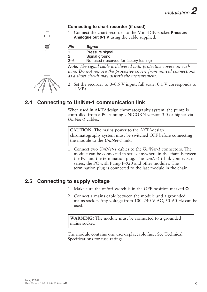### **Connecting to chart recorder (if used)**

1 Connect the chart recorder to the Mini-DIN-socket **Pressure Analogue out 0-1 V** using the cable supplied.

#### **Pin Signal**

| 1 | Pressure signal |
|---|-----------------|
| 2 | Signal ground   |

3–6 Not used (reserved for factory testing)

*Note: The signal cable is delivered with protective covers on each wire. Do not remove the protective covers from unused connections as a short circuit may disturb the measurement.*

2 Set the recorder to 0–0.5 V input, full scale. 0.1 V corresponds to 1 MPa.

## **2.4 Connecting to UniNet-1 communication link**

When used in ÄKTAdesign chromatography system, the pump is controlled from a PC running UNICORN version 3.0 or higher via *UniNet-1* cables.

**CAUTION!** The mains power to the ÄKTAdesign chromatography system must be switched OFF before connecting the module to the *UniNet-1* link.

1 Connect two *UniNet-1* cables to the *UniNet*-*1* connectors. The module can be connected in series anywhere in the chain between the PC and the termination plug. The *UniNet-1* link connects, in series, the PC with Pump P-920 and other modules. The termination plug is connected to the last module in the chain.

# **2.5 Connecting to supply voltage**

- 1 Make sure the on/off switch is in the OFF-position marked **O**.
- 2 Connect a mains cable between the module and a grounded mains socket. Any voltage from 100–240 V AC, 50–60 Hz can be used.

**WARNING!** The module must be connected to a grounded mains socket.

The module contains one user-replaceable fuse. See Technical Specifications for fuse ratings.

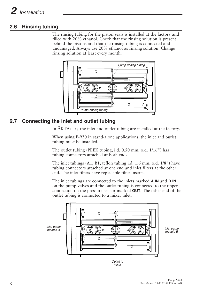# **2.6 Rinsing tubing**

The rinsing tubing for the piston seals is installed at the factory and filled with 20% ethanol. Check that the rinsing solution is present behind the pistons and that the rinsing tubing is connected and undamaged. Always use 20% ethanol as rinsing solution. Change rinsing solution at least every month.



# **2.7 Connecting the inlet and outlet tubing**

In ÄKTAFPLC*,* the inlet and outlet tubing are installed at the factory.

When using P-920 in stand-alone applications, the inlet and outlet tubing must be installed.

The outlet tubing (PEEK tubing, i.d. 0.50 mm, o.d. 1/16") has tubing connectors attached at both ends.

The inlet tubings (A1, B1, teflon tubing i.d. 1.6 mm, o.d. 1/8") have tubing connectors attached at one end and inlet filters at the other end. The inlet filters have replacable filter inserts.

The inlet tubings are connected to the inlets marked **A IN** and **B IN** on the pump valves and the outlet tubing is connected to the upper connection on the pressure sensor marked **OUT**. The other end of the outlet tubing is connected to a mixer inlet.

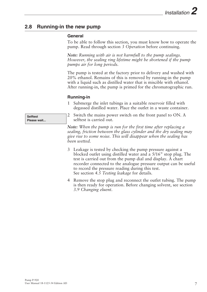## **2.8 Running-in the new pump**

#### **General**

To be able to follow this section, you must know how to operate the pump. Read through section *3 Operation* before continuing.

*Note: Running with air is not harmfull to the pump sealings. However, the sealing ring lifetime might be shortened if the pump pumps air for long periods.*

The pump is tested at the factory prior to delivery and washed with 20% ethanol. Remains of this is removed by running-in the pump with a liquid such as distilled water that is miscible with ethanol. After running-in, the pump is primed for the chromatographic run.

### **Running-in**

- 1 Submerge the inlet tubings in a suitable reservoir filled with degassed distilled water. Place the outlet in a waste container.
- 2 Switch the mains power switch on the front panel to ON. A selftest is carried out.

*Note: When the pump is run for the first time after replacing a sealing, friction between the glass cylinder and the dry sealing may give rise to some noise. This will disappear when the sealing has been wetted.*

- 3 Leakage is tested by checking the pump pressure against a blocked outlet using distilled water and a 5/16" stop plug. The test is carried out from the pump dial and display. A chart recorder connected to the analogue pressure output can be useful to record the pressure reading during this test. See section *4.5 Testing leakage* for details.
- 4 Remove the stop plug and reconnect the outlet tubing. The pump is then ready for operation. Before changing solvent, see section *3.9 Changing eluent*.

**Selftest Please wait...**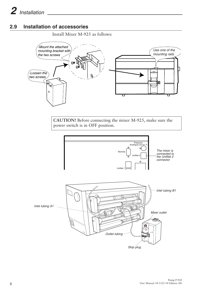# **2.9 Installation of accessories**

Install Mixer M-925 as follows:



**CAUTION!** Before connecting the mixer M-925, make sure the power switch is in OFF position.

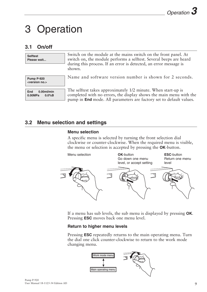# 3 Operation

# **3.1 On/off**

**Selftest Please wait...** Switch on the module at the mains switch on the front panel. At switch on, the module performs a selftest. Several beeps are heard during this process. If an error is detected, an error message is shown.

**Pump P-920 <version no.>** Name and software version number is shown for 2 seconds.

**End** 0.00ml/min<br>0.00MPa 0.0%B **0.00MPa 0.0%B**

The selftest takes approximately 1/2 minute. When start-up is completed with no errors, the display shows the main menu with the pump in **End** mode. All parameters are factory set to default values.

## **3.2 Menu selection and settings**

#### **Menu selection**

A specific menu is selected by turning the front selection dial clockwise or counter-clockwise. When the required menu is visible, the menu or selection is accepted by pressing the **OK**-button.



If a menu has sub levels, the sub menu is displayed by pressing **OK**. Pressing **ESC** moves back one menu level.

#### **Return to higher menu levels**

Pressing **ESC** repeatedly returns to the main operating menu. Turn the dial one click counter-clockwise to return to the work mode changing menu.

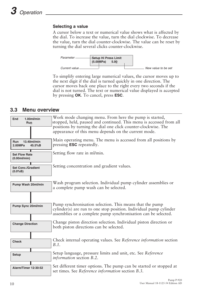#### **Selecting a value**

A cursor below a text or numerical value shows what is affected by the dial. To increase the value, turn the dial clockwise. To decrease the value, turn the dial counter-clockwise. The value can be reset by turning the dial several clicks counter-clockwise.



To simplify entering large numerical values, the cursor moves up to the next digit if the dial is turned quickly in one direction. The cursor moves back one place to the right every two seconds if the dial is not turned. The text or numerical value displayed is accepted by pressing **OK**. To cancel, press **ESC**.

## **3.3 Menu overview**

| End<br>$1.00$ ml/min<br>Run                    | Work mode changing menu. From here the pump is started,<br>stopped, held, paused and continued. This menu is accessed from all<br>positions by turning the dial one click counter-clockwise. The<br>appearance of this menu depends on the current mode. |
|------------------------------------------------|----------------------------------------------------------------------------------------------------------------------------------------------------------------------------------------------------------------------------------------------------------|
| 13.40ml/min<br><b>Run</b><br>2.00MPa<br>45.5%B | Main operating menu. The menu is accessed from all positions by<br>pressing <b>ESC</b> repeatedly.                                                                                                                                                       |
| <b>Set Flow Rate</b><br>$(0.00$ ml/min $)$     | Setting flow rate in ml/min.                                                                                                                                                                                                                             |
| <b>Set Conc./Gradient</b><br>(0.0%B)           | Setting concentration and gradient values.                                                                                                                                                                                                               |
| Pump Wash 20ml/min                             | Wash program selection. Individual pump cylinder assemblies or<br>a complete pump wash can be selected.                                                                                                                                                  |
| Pump Sync 20ml/min                             | Pump synchronisation selection. This means that the pump<br>cylinder(s) are run to one stop position. Individual pump cylinder<br>assemblies or a complete pump synchronisation can be selected.                                                         |
| <b>Change Direction</b>                        | Change piston direction selection. Individual piston direction or<br>both piston directions can be selected.                                                                                                                                             |
| <b>Check</b>                                   | Check internal operating values. See Reference information section<br>B.1.                                                                                                                                                                               |
| Setup                                          | Setup language, pressure limits and unit, etc. See Reference<br>information section B.2.                                                                                                                                                                 |
| <b>Alarm/Timer 12:30:52</b>                    | Set different timer options. The pump can be started or stopped at<br>set times. See Reference information section B.3.                                                                                                                                  |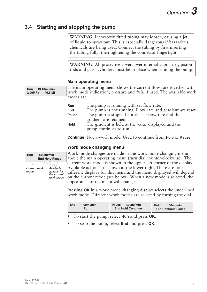## **3.4 Starting and stopping the pump**

**WARNING!** Incorrectly fitted tubing may loosen, causing a jet of liquid to spray out. This is especially dangerous if hazardous chemicals are being used. Connect the tubing by first inserting the tubing fully, then tightening the connector fingertight.

**WARNING!** All protective covers over internal capillaries, piston rods and glass cylinders must be in place when running the pump.

#### **Main operating menu**

The main operating menu shows the current flow rate together with work mode indication, pressure and %B, if used. The available work modes are: **Run 13.40ml/min 2.00MPa 45.5%B**

| Run         | The pump is running with set flow rate.                    |
|-------------|------------------------------------------------------------|
| End         | The pump is not running. Flow rate and gradient are reset. |
| Pause       | The pump is stopped but the set flow rate and the          |
|             | gradient are retained.                                     |
| <b>Hold</b> | The gradient is held at the value displayed and the        |
|             | pump continues to run.                                     |

**Continue** Not a work mode. Used to continue from **Hold** or **Pause**.

#### **Work mode changing menu**



Work mode changes are made in the work mode changing menu above the main operating menu (turn dial counter-clockwise). The current work mode is shown in the upper left corner of the display. Available actions are shown at the lower right. There are four different displays for this menu and the menu displayed will depend on the current mode (see below). When a new mode is selected, the appearance of the menu will change.

Pressing **OK** in a work mode changing display selects the underlined work mode. Different work modes are selected by turning the dial.

| End | $1.00$ ml/min<br>Run | $1.00$ ml/min<br><b>Pause</b><br><b>End Hold Continue</b> | Hold<br>$1.00$ ml/min<br><b>End Continue Pause</b> |
|-----|----------------------|-----------------------------------------------------------|----------------------------------------------------|
|     |                      |                                                           |                                                    |

- To start the pump, select **Run** and press **OK**.
- To stop the pump, select **End** and press **OK**.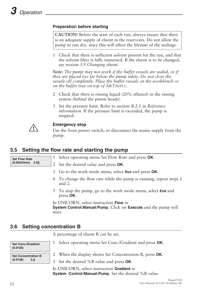### **Preparation before starting**

**CAUTION!** Before the start of each run, always ensure that there is an adequate supply of eluent in the reservoirs. Do not allow the pump to run dry, since this will affect the lifetime of the sealings.

1 Check that there is sufficient solvent present for the run, and that the solvent filter is fully immersed. If the eluent is to be changed, see section *3.9 Changing eluent.* 

*Note: The pump may not work if the buffer vessels are sealed, or if they are placed too far below the pump inlets. Do not close the vessels off completely. Place the buffer vessels on the workbench or on the buffer tray on top of ÄKTAFPLC.*

- 2 Check that there is rinsing liquid (20% ethanol) in the rinsing system (behind the piston heads).
- 3 Set the pressure limit. Refer to section *B.2.1* in *Reference information*. If the pressure limit is exceeded, the pump is stopped.



**Set Flow Rate (0.00ml/min) 2.50**

#### **Emergency stop**

Use the front power switch, or disconnect the mains supply from the pump.

# **3.5 Setting the flow rate and starting the pump**

1 Select operating menu Set Flow Rate and press **OK**.

- 2 Set the desired value and press **OK**.
- 3 Go to the work mode menu, select **Run** and press **OK**.
- 4 To change the flow rate while the pump is running, repeat steps 1 and 2.
- 5 To stop the pump, go to the work mode menu, select **End** and press **OK**.

In UNICORN, select instruction **Flow** in

**System Control:Manual:Pump**. Click on **Execute** and the pump will start.

## **3.6 Setting concentration B**

A percentage of eluent B can be set.

| <b>Set Conc./Gradient</b><br>$(0.0\%B)$ |                            |
|-----------------------------------------|----------------------------|
| $(0.0\%B)$                              | <b>Set Concentration B</b> |

1 Select operating menu Set Conc./Gradient and press **OK**.

2 When the display shows Set Concentration B, press **OK**.

3 Set the desired %B value and press **OK**.

In UNICORN, select instruction **Gradient** in **System Control:Manual:Pump.** Set the desired %B value.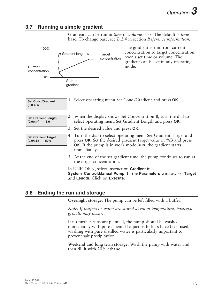Operation **3**



## **3.8 Ending the run and storage**

**Overnight storage:** The pump can be left filled with a buffer.

*Note: If buffers or water are stored at room temperature, bacterial growth may occur.*

If no further runs are planned, the pump should be washed immediately with pure eluent. If aqueous buffers have been used, washing with pure distilled water is particularly important to prevent salt precipitation.

**Weekend and long term storage:** Wash the pump with water and then fill it with 20% ethanol.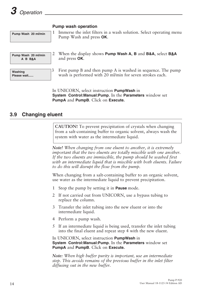

In UNICORN, select instruction **PumpWash** in **System Control:Manual:Pump**. In the **Parameters** window set **PumpA** and **PumpB**. Click on **Execute.**

# **3.9 Changing eluent**

**CAUTION!** To prevent precipitation of crystals when changing from a salt-containing buffer to organic solvent, always wash the system with water as the intermediate liquid.

*Note! When changing from one eluent to another, it is extremely important that the two eluents are totally miscible with one another. If the two eluents are immiscible, the pump should be washed first with an intermediate liquid that is miscible with both eluents. Failure to do this will disrupt the flow from the pump.*

When changing from a salt-containing buffer to an organic solvent, use water as the intermediate liquid to prevent precipitation.

- 1 Stop the pump by setting it in **Pause** mode.
- 2 If not carried out from UNICORN, use a bypass tubing to replace the column.
- 3 Transfer the inlet tubing into the new eluent or into the intermediate liquid.
- 4 Perform a pump wash.
- 5 If an intermediate liquid is being used, transfer the inlet tubing into the final eluent and repeat step 4 with the new eluent.

In UNICORN, select instruction **PumpWash** in **System Control:Manual:Pump**. In the **Parameters** window set **PumpA** and **PumpB**. Click on **Execute.**

*Note: When high buffer purity is important, use an intermediate step. This avoids remains of the previous buffer in the inlet filter diffusing out in the new buffer.*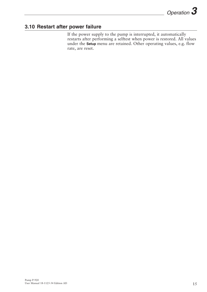# **3.10 Restart after power failure**

If the power supply to the pump is interrupted, it automatically restarts after performing a selftest when power is restored. All values under the **Setup** menu are retained. Other operating values, e.g. flow rate, are reset.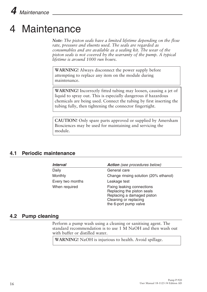# 4 Maintenance

*Note: The piston seals have a limited lifetime depending on the flow rate, pressure and eluents used. The seals are regarded as consumables and are available as a sealing kit. The wear of the piston seals is not covered by the warranty of the pump. A typical lifetime is around 1000 run hours.*

**WARNING!** Always disconnect the power supply before attempting to replace any item on the module during maintenance.

**WARNING!** Incorrectly fitted tubing may loosen, causing a jet of liquid to spray out. This is especially dangerous if hazardous chemicals are being used. Connect the tubing by first inserting the tubing fully, then tightening the connector fingertight.

**CAUTION!** Only spare parts approved or supplied by Amersham Biosciences may be used for maintaining and servicing the module.

# **4.1 Periodic maintenance**

| <i><b>Interval</b></i> | <b>Action</b> (see procedures below)                                                                                                     |
|------------------------|------------------------------------------------------------------------------------------------------------------------------------------|
| Daily                  | General care                                                                                                                             |
| Monthly                | Change rinsing solution (20% ethanol)                                                                                                    |
| Every two months       | Leakage test                                                                                                                             |
| When required          | Fixing leaking connections<br>Replacing the piston seals<br>Replacing a damaged piston<br>Cleaning or replacing<br>the 6-port pump valve |

# **4.2 Pump cleaning**

Perform a pump wash using a cleaning or sanitising agent. The standard recommendation is to use 1 M NaOH and then wash out with buffer or distilled water.

**WARNING!** NaOH is injurious to health. Avoid spillage.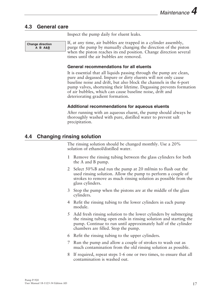## **4.3 General care**

Inspect the pump daily for eluent leaks.

**Change direction A B A&B**

If, at any time, air bubbles are trapped in a cylinder assembly, purge the pump by manually changing the direction of the piston when the piston reaches its end position. Change direction several times until the air bubbles are removed.

#### **General recommendations for all eluents**

It is essential that all liquids passing through the pump are clean, pure and degassed. Impure or dirty eluents will not only cause baseline noise and drift, but also block the channels in the 6-port pump valves, shortening their lifetime. Degassing prevents formation of air bubbles, which can cause baseline noise, drift and deteriorating gradient formation.

### **Additional recommendations for aqueous eluents**

After running with an aqueous eluent, the pump should always be thoroughly washed with pure, distilled water to prevent salt precipitation.

# **4.4 Changing rinsing solution**

The rinsing solution should be changed monthly. Use a 20% solution of ethanol/distilled water.

- 1 Remove the rinsing tubing between the glass cylinders for both the A and B pump.
- Select 50%B and run the pump at 20 ml/min to flush out the used rinsing solution. Allow the pump to perform a couple of strokes to remove as much rinsing solution as possible from the glass cylinders.
- 3 Stop the pump when the pistons are at the middle of the glass cylinders.
- 4 Refit the rinsing tubing to the lower cylinders in each pump module.
- 5 Add fresh rinsing solution to the lower cylinders by submerging the rinsing tubing open ends in rinsing solution and starting the pump. Continue to run until approximately half of the cylinder chambers are filled. Stop the pump.
- 6 Refit the rinsing tubing to the upper cylinders.
- 7 Run the pump and allow a couple of strokes to wash out as much contamination from the old rinsing solution as possible.
- 8 If required, repeat steps 1-6 one or two times, to ensure that all contamination is washed out.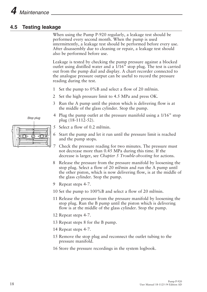# **4.5 Testing leakage**

When using the Pump P-920 regularly, a leakage test should be performed every second month. When the pump is used intermittently, a leakage test should be performed before every use. After disassembly due to cleaning or repair, a leakage test should also be performed before use.

Leakage is tested by checking the pump pressure against a blocked outlet using distilled water and a 1/16" stop plug. The test is carried out from the pump dial and display. A chart recorder connected to the analogue pressure output can be useful to record the pressure reading during the test.

- 1 Set the pump to 0%B and select a flow of 20 ml/min.
- 2 Set the high pressure limit to 4.5 MPa and press OK.
- 3 Run the A pump until the piston which is delivering flow is at the middle of the glass cylinder. Stop the pump.
- 4 Plug the pump outlet at the pressure manifold using a 1/16" stop plug (18-1112-52).
- 5 Select a flow of 0.2 ml/min.
- 6 Start the pump and let it run until the pressure limit is reached and the pump stops.
- Check the pressure reading for two minutes. The pressure must not decrease more than 0.45 MPa during this time. If the decrease is larger, see *Chapter 5 Trouble-shooting* for actions.
- 8 Release the pressure from the pressure manifold by loosening the stop plug. Select a flow of 20 ml/min and run the A pump until the other piston, which is now delivering flow, is at the middle of the glass cylinder. Stop the pump.
- 9 Repeat steps 4-7.
- 10 Set the pump to 100%B and select a flow of 20 ml/min.
- 11 Release the pressure from the pressure manifold by loosening the stop plug. Run the B pump until the piston which is delivering flow is at the middle of the glass cylinder. Stop the pump.
- 12 Repeat steps 4-7.
- 13 Repeat steps 8 for the B pump.
- 14 Repeat steps 4-7.
- 15 Remove the stop plug and reconnect the outlet tubing to the pressure manifold.
- 16 Store the pressure recordings in the system logbook.

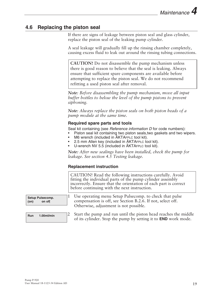# **4.6 Replacing the piston seal**

If there are signs of leakage between piston seal and glass cylinder, replace the piston seal of the leaking pump cylinder.

A seal leakage will gradually fill up the rinsing chamber completely, causing excess fluid to leak out around the rinsing tubing connections.

**CAUTION!** Do not disassemble the pump mechanism unless there is good reason to believe that the seal is leaking. Always ensure that sufficient spare components are available before attempting to replace the piston seal. We do not recommend refitting a used piston seal after removal.

*Note: Before disassembling the pump mechanism, move all input buffer bottles to below the level of the pump pistons to prevent siphoning.*

*Note: Always replace the piston seals on both piston heads of a pump module at the same time.*

## **Required spare parts and tools**

Seal kit containing (see *Reference information D* for code numbers):

- Piston seal kit containing two piston seals,two gaskets and two wipers.
- M6 wrench (included in ÄKTAFPLC tool kit).
- 2.5 mm Allen key (included in ÄKTAFPLC tool kit).
- U-wrench NV 5.5 (included in AKTAFPLC tool kit).

*Note: After new sealings have been installed, check the pump for leakage. See section 4.5 Testing leakage.*

#### **Replacement instruction**

CAUTION! Read the following instructions carefully. Avoid fitting the individual parts of the pump cylinder assembly incorrectly. Ensure that the orientation of each part is correct before continuing with the next instruction.

1 Use operating menu Setup Pulsecomp. to check that pulse compensation is off, see Section B.2.6. If not, select off. Otherwise, adjustment is not possible.

Start the pump and run until the piston head reaches the middle of its cylinder. Stop the pump by setting it to **END** work mode.

**Setup Pulsecomp. (on) on off**

**Run 1.00ml/min**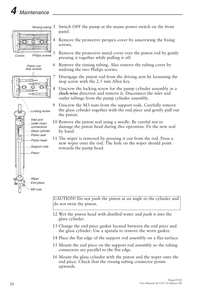



- Switch OFF the pump at the mains power switch on the front panel.
- 4 Remove the protective perspex cover by unscrewing the fixing screws.
- 5 Remove the protective metal cover over the piston rod by gently pressing it together while pulling it off.
- 6 Remove the rinsing tubing. Also remove the tubing cover by undoing the two Philips screws.
- 7 Disengage the piston rod from the driving arm by loosening the stop screw with the 2.5 mm Allen key.
- 8 Unscrew the locking screw for the pump cylinder assembly in a **clock-wise** direction and remove it. Disconnect the inlet and outlet tubings from the pump cylinder assembly.
- 9 Unscrew the M3 nuts from the support rods. Carefully remove the glass cylinder together with the end piece and gently pull out the piston.
- 10 Remove the piston seal using a needle. Be careful not to damage the piston head during this operation. Fit the new seal by hand.
- 11 The wiper is removed by pressing it out from the rod. Press a new wiper onto the rod. The hole on the wiper should point towards the pump head.

CAUTION! Do not push the piston at an angle to the cylinder and do not twist the piston.

- 12 Wet the piston head with distilled water and push it into the glass cylinder.
- 13 Change the end piece gasket located between the end piece and the glass cylinder. Use a spatula to remove the worn gasket.
- 14 Place the flat edge of the support rod assembly on a flat surface.
- 15 Mount the end piece on the support rod assembly so the tubing connectors are parallel to the flat edge.
- 16 Mount the glass cylinder with the piston and the wiper onto the end piece. Check that the rinsing tubing connector points upwards.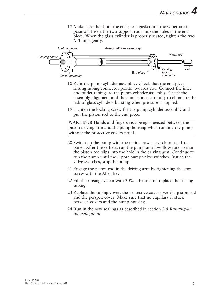17 Make sure that both the end piece gasket and the wiper are in position. Insert the two support rods into the holes in the end piece. When the glass cylinder is properly seated, tighten the two M3 nuts gently.



- 18 Refit the pump cylinder assembly. Check that the end piece rinsing tubing connector points towards you. Connect the inlet and outlet tubings to the pump cylinder assembly. Check the assembly alignment and the connections carefully to eliminate the risk of glass cylinders bursting when pressure is applied.
- 19 Tighten the locking screw for the pump cylinder assembly and pull the piston rod to the end piece.

WARNING! Hands and fingers risk being squeezed between the piston driving arm and the pump housing when running the pump without the protective covers fitted.

- 20 Switch on the pump with the mains power switch on the front panel. After the selftest, run the pump at a low flow rate so that the piston rod slips into the hole in the driving arm. Continue to run the pump until the 6-port pump valve switches. Just as the valve switches, stop the pump.
- 21 Engage the piston rod in the driving arm by tightening the stop screw with the Allen key.
- 22 Fill the rinsing system with 20% ethanol and replace the rinsing tubing.
- 23 Replace the tubing cover, the protective cover over the piston rod and the perspex cover. Make sure that no capillary is stuck between covers and the pump housing.
- 24 Run in the new sealings as described in section *2.8 Running-in the new pump*.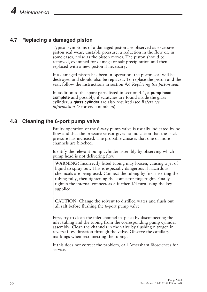# **4.7 Replacing a damaged piston**

Typical symptoms of a damaged piston are observed as excessive piston seal wear, unstable pressure, a reduction in the flow or, in some cases, noise as the piston moves. The piston should be removed, examined for damage or salt precipitation and then replaced with a new piston if necessary.

If a damaged piston has been in operation, the piston seal will be destroyed and should also be replaced. To replace the piston and the seal, follow the instructions in section *4.6 Replacing the piston seal.*

In addition to the spare parts listed in section 4.4, a **pump head complete** and possibly, if scratches are found inside the glass cylinder, a **glass cylinder** are also required (see *Reference information D* for code numbers).

# **4.8 Cleaning the 6-port pump valve**

Faulty operation of the 6-way pump valve is usually indicated by no flow and that the pressure sensor gives no indication that the back pressure has increased. The probable cause is that one or more channels are blocked.

Identify the relevant pump cylinder assembly by observing which pump head is not delivering flow.

**WARNING!** Incorrectly fitted tubing may loosen, causing a jet of liquid to spray out. This is especially dangerous if hazardous chemicals are being used. Connect the tubing by first inserting the tubing fully, then tightening the connector fingertight. Finally tighten the internal connectors a further 1/4 turn using the key supplied.

**CAUTION!** Change the solvent to distilled water and flush out all salt before flushing the 6-port pump valve*.*

First, try to clean the inlet channel in–place by disconnecting the inlet tubing and the tubing from the corresponding pump cylinder assembly. Clean the channels in the valve by flushing nitrogen in reverse flow direction through the valve. Observe the capillary markings when reconnecting the tubing.

If this does not correct the problem, call Amersham Biosciences for service.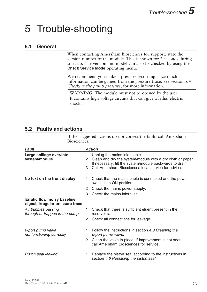# 5 Trouble-shooting

# **5.1 General**

When contacting Amersham Biosciences for support, state the version number of the module. This is shown for 2 seconds during start-up. The version and model can also be checked by using the **Check Service Mode** operating menu.

We recommend you make a pressure recording since much information can be gained from the pressure trace. See section *5.4 Checking the pump pressure*, for more information.

**WARNING!** The module must not be opened by the user. It contains high voltage circuits that can give a lethal electric shock.

# **5.2 Faults and actions**

If the suggested actions do not correct the fault, call Amersham Biosciences.

| <b>Fault</b>                                                     |              | <b>Action</b>                                                                                                                                                                                                  |
|------------------------------------------------------------------|--------------|----------------------------------------------------------------------------------------------------------------------------------------------------------------------------------------------------------------|
| Large spillage over/into<br>system/module                        | 1.<br>2<br>3 | Unplug the mains inlet cable.<br>Clean and dry the system/module with a dry cloth or paper.<br>If necessary, tilt the system/module backwards to drain.<br>Call Amersham Biosciences local service for advice. |
| No text on the front display                                     | 1.           | Check that the mains cable is connected and the power<br>switch is in ON-position I.                                                                                                                           |
|                                                                  | 2            | Check the mains power supply.                                                                                                                                                                                  |
|                                                                  | 3            | Check the mains inlet fuse.                                                                                                                                                                                    |
| Erratic flow, noisy baseline<br>signal, irregular pressure trace |              |                                                                                                                                                                                                                |
| Air bubbles passing<br>through or trapped in the pump            | 1.           | Check that there is sufficient eluent present in the<br>reservoirs.                                                                                                                                            |
|                                                                  | 2            | Check all connections for leakage.                                                                                                                                                                             |
| 6-port pump valve<br>not functioning correctly                   | 1.           | Follow the instructions in section 4.8 Cleaning the<br>6-port pump valve.                                                                                                                                      |
|                                                                  | 2            | Clean the valve in-place. If improvement is not seen,<br>call Amersham Biosciences for service.                                                                                                                |
| Piston seal leaking                                              | 1.           | Replace the piston seal according to the instructions in<br>section 4.6 Replacing the piston seal.                                                                                                             |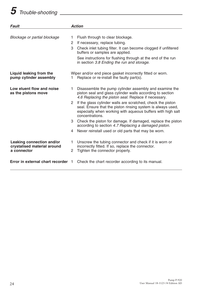| Fault                                             | <b>Action</b>                                                                                                                                                                                                     |
|---------------------------------------------------|-------------------------------------------------------------------------------------------------------------------------------------------------------------------------------------------------------------------|
|                                                   |                                                                                                                                                                                                                   |
| Blockage or partial blockage                      | Flush through to clear blockage.<br>1.                                                                                                                                                                            |
|                                                   | If necessary, replace tubing.<br>2                                                                                                                                                                                |
|                                                   | Check inlet tubing filter. It can become clogged if unfiltered<br>3<br>buffers or samples are applied.                                                                                                            |
|                                                   | See instructions for flushing through at the end of the run<br>in section 3.8 Ending the run and storage.                                                                                                         |
| Liquid leaking from the<br>pump cylinder assembly | Wiper and/or end piece gasket incorrectly fitted or worn.<br>Replace or re-install the faulty part(s).                                                                                                            |
| Low eluent flow and noise<br>as the pistons move  | Disassemble the pump cylinder assembly and examine the<br>1.<br>piston seal and glass cylinder walls according to section<br>4.6 Replacing the piston seal. Replace if necessary.                                 |
|                                                   | If the glass cylinder walls are scratched, check the piston<br>2<br>seal. Ensure that the piston rinsing system is always used.<br>especially when working with aqueous buffers with high salt<br>concentrations. |
|                                                   | Check the piston for damage. If damaged, replace the piston<br>3<br>according to section 4.7 Replacing a damaged piston.                                                                                          |
|                                                   | Never reinstall used or old parts that may be worn.<br>4                                                                                                                                                          |
| Leaking connection and/or                         | Unscrew the tubing connector and check if it is worn or<br>1.                                                                                                                                                     |
| crystalised material around<br>a connector        | incorrectly fitted. If so, replace the connector.<br>Tighten the connector properly.<br>$\mathbf{2}^{\prime}$                                                                                                     |
| Error in external chart recorder                  | Check the chart recorder according to its manual.<br>-1                                                                                                                                                           |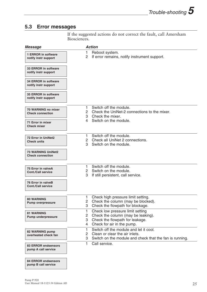# **5.3 Error messages**

If the suggested actions do not correct the fault, call Amersham Biosciences.

| Message                                              | <b>Action</b>                                                                                                                                                |
|------------------------------------------------------|--------------------------------------------------------------------------------------------------------------------------------------------------------------|
| 1 ERROR in software<br>notify instr support          | 1<br>Reboot system.<br>2<br>If error remains, notify instrument support.                                                                                     |
| 33 ERROR in software<br>notify instr support         |                                                                                                                                                              |
| 34 ERROR in software<br>notify instr support         |                                                                                                                                                              |
| 35 ERROR in software<br>notify instr support         |                                                                                                                                                              |
| 70 WARNING no mixer<br><b>Check connection</b>       | Switch off the module.<br>1.<br>Check the UniNet-2 connections to the mixer.<br>2<br>3 Check the mixer.                                                      |
| 71 Error in mixer<br><b>Check mixer</b>              | Switch on the module.<br>4                                                                                                                                   |
| 72 Error in UniNet2<br><b>Check units</b>            | Switch off the module.<br>1.<br>Check all UniNet 2 connections.<br>2<br>Switch on the module.<br>3                                                           |
| <b>73 WARNING UniNet2</b><br><b>Check connection</b> |                                                                                                                                                              |
| 75 Error in valveA<br><b>Cont./Call service</b>      | Switch off the module.<br>1.<br>2<br>Switch on the module.<br>3.<br>If still persistent, call service.                                                       |
| 76 Error in valveB<br><b>Cont./Call service</b>      |                                                                                                                                                              |
| <b>80 WARNING</b><br><b>Pump overpressure</b>        | Check high pressure limit setting.<br>1.<br>2<br>Check the column (may be blocked).<br>Check the flowpath for blockage.<br>3.                                |
| <b>81 WARNING</b><br><b>Pump underpressure</b>       | 1.<br>Check low pressure limit setting<br>2<br>Check the column (may be leaking).<br>Check the flowpath for leakage.<br>З<br>Check for air in the pump.<br>4 |
| 82 WARNING pump<br>overheated check fan              | Switch off the module and let it cool.<br>1<br>2<br>Clean or clear the air inlets.<br>3<br>Switch on the module and check that the fan is running.           |
| 83 ERROR endsensors<br>pump A call service           | 1<br>Call service.                                                                                                                                           |
| <b>84 ERROR endsensors</b><br>pump B call service    |                                                                                                                                                              |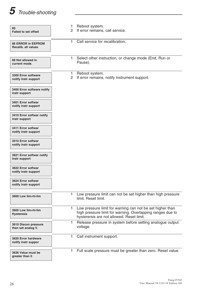| 85<br><b>Failed to set offset</b>                | 2      | 1 Reboot system.<br>If error remains, call service.                                                                                                                  |
|--------------------------------------------------|--------|----------------------------------------------------------------------------------------------------------------------------------------------------------------------|
|                                                  |        |                                                                                                                                                                      |
| 86 ERROR in EEPROM<br><b>Recalib, all values</b> | 1.     | Call service for recalibration.                                                                                                                                      |
| 88 Not allowed in<br>current mode.               | 1      | Select other instruction, or change mode (End, Run or<br>Pause).                                                                                                     |
| 3300 Error software<br>notify instr support      | 1<br>2 | Reboot system.<br>If error remains, notify instrument support.                                                                                                       |
| 3400 Error software notify<br>instr support      |        |                                                                                                                                                                      |
| 3401 Error softwar<br>notify instr support       |        |                                                                                                                                                                      |
| 3410 Error softwar notify<br>instr support       |        |                                                                                                                                                                      |
| 3411 Error softwar<br>notify instr support       |        |                                                                                                                                                                      |
| 3510 Error softwar<br>notify instr support       |        |                                                                                                                                                                      |
| 3621 Error softwar notify<br>instr support       |        |                                                                                                                                                                      |
| 3622 Error softwar<br>notify instr support       |        |                                                                                                                                                                      |
| 3624 Error softwar<br>notify instr support       |        |                                                                                                                                                                      |
| 3600 Low lim>hi-lim                              | 1      | Low pressure limit can not be set higher than high pressure<br>limit. Reset limit.                                                                                   |
| 3605 Low lim>hi-lim<br>Hysteresis                | 1.     | Low pressure limit for warning can not be set higher than<br>high pressure limit for warning. Overlapping ranges due to<br>hysterersis are not allowed. Reset limit. |
| 3610 Discon pressure<br>then set analog V.       | 1      | Release pressure in system before setting analogue output<br>voltage.                                                                                                |
| 3620 Error hardware<br>notify instr suppor       | 1      | Call instrument support.                                                                                                                                             |
| 3636 Value must be<br>greater than 0             | 1      | Full scale pressure must be greater than zero. Reset value.                                                                                                          |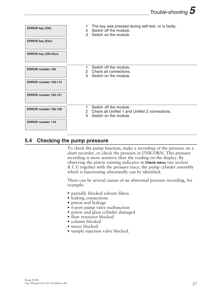| ERROR key (OK)            | $\mathbf{2}$        | The key was pressed during self-test, or is faulty.<br>Switch off the module.<br>3 Switch on the module. |
|---------------------------|---------------------|----------------------------------------------------------------------------------------------------------|
| <b>ERROR key (Esc)</b>    |                     |                                                                                                          |
| <b>ERROR key (OK+Esc)</b> |                     |                                                                                                          |
| <b>ERROR number 100</b>   | 1.<br>$\mathcal{S}$ | Switch off the module.<br>2 Check all connections.<br>Switch on the module.                              |
| ERROR number 109-113      |                     |                                                                                                          |
| ERROR number 120-121      |                     |                                                                                                          |
| ERROR number 106-108      | 1.<br>2<br>3        | Switch off the module.<br>Check all UniNet 1 and UniNet 2 connections.<br>Switch on the module.          |
| <b>ERROR number 118</b>   |                     |                                                                                                          |

# **5.4 Checking the pump pressure**

To check the pump function, make a recording of the pressure on a chart recorder, or check the pressure in UNICORN. This pressure recording is more sensitive than the reading on the display. By observing the piston running indicator in **Check menu** (see section *B.1.1*) together with the pressure trace, the pump cylinder assembly which is functioning abnormally can be identified.

There can be several causes of an abnormal pressure recording, for example:

- partially blocked solvent filters
- leaking connections
- piston seal leakage
- 6-port pump valve malfunction
- piston and glass cylinder damaged
- flow restrictor blocked
- column blocked
- mixer blocked
- sample injection valve blocked.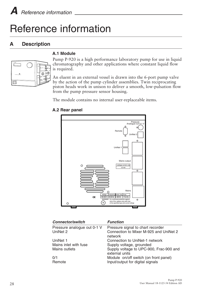# Reference information

# **A Description**

## **A.1 Module**



Pump P-920 is a high performance laboratory pump for use in liquid chromatography and other applications where constant liquid flow is required.

An eluent in an external vessel is drawn into the 6-port pump valve by the action of the pump cylinder assemblies. Twin reciprocating piston heads work in unison to deliver a smooth, low-pulsation flow from the pump pressure sensor housing.

The module contains no internal user-replaceable items.



## **A.2 Rear panel**

| <b>Connector/switch</b>     | <b>Function</b>                                                           |
|-----------------------------|---------------------------------------------------------------------------|
| Pressure analogue out 0-1 V | Pressure signal to chart recorder                                         |
| UniNet 2                    | Connection to Mixer M-925 and UniNet 2<br>network                         |
| UniNet 1                    | Connection to UniNet-1 network                                            |
| Mains inlet with fuse       | Supply voltage, grounded                                                  |
| Mains outlets               | Supply voltage to UPC-900, Frac-900 and<br>external units                 |
| 0/1<br>Remote               | Module on/off switch (on front panel)<br>Input/output for digital signals |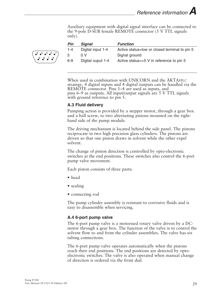Auxiliary equipment with digital signal interface can be connected to the 9-pole D-SUB female REMOTE connector (5 V TTL signals only).



| Pin | <b>Signal</b>     | <b>Function</b>                               |
|-----|-------------------|-----------------------------------------------|
| 1-4 | Digital input 1-4 | Active status=low or closed terminal to pin 5 |
| 5.  | 0 V               | Signal ground                                 |
| 6-9 | Digital ouput 1-4 | Active status= $+5$ V in reference to pin 5   |

When used in combination with UNICORN and the ÄKTAFPLC strategy, 4 digital inputs and 4 digital outputs can be handled via the REMOTE connector. Pins 1–4 are used as inputs, and pins 6–9 as outputs. All input/output signals are 5 V TTL signals with ground reference to pin 5.

### **A.3 Fluid delivery**

Pumping action is provided by a stepper motor, through a gear box and a ball screw, to two alternating pistons mounted on the righthand side of the pump module.

The driving mechanism is located behind the side panel. The pistons reciprocate in two high precision glass cylinders. The pistons are driven so that one piston draws in solvent while the other expel solvent.

The change of piston direction is controlled by opto-electronic switches at the end positions. These switches also control the 6-port pump valve movement.

Each piston consists of three parts:

- head
- sealing
- connecting rod

The pump cylinder assembly is resistant to corrosive fluids and is easy to disassemble when servicing.

## **A.4 6-port pump valve**

The 6-port pump valve is a motorised rotary valve driven by a DCmotor through a gear box. The function of the valve is to control the solvent flow to and from the cylinder assemblies. The valve has six tubing connections.

The 6-port pump valve operates automatically when the pistons reach their end positions. The end positions are detected by optoelectronic switches. The valve is also operated when manual change of direction is ordered via the front dial.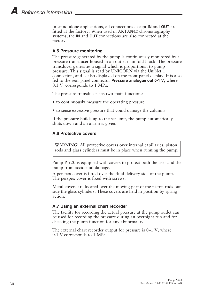In stand-alone applications, all connections except **IN** and **OUT** are fitted at the factory. When used in ÄKTAFPLC chromatography systems, the **IN** and **OUT** connections are also connected at the factory.

## **A.5 Pressure monitoring**

The pressure generated by the pump is continuously monitored by a pressure transducer housed in an outlet manifold block. The pressure transducer generates a signal which is proportional to pump pressure. This signal is read by UNICORN via the UniNet 1 connection, and is also displayed on the front panel display. It is also fed to the rear panel connector **Pressure analogue out 0-1 V**, where 0.1 V corresponds to 1 MPa.

The pressure transducer has two main functions:

- to continuously measure the operating pressure
- to sense excessive pressure that could damage the columns

If the pressure builds up to the set limit, the pump automatically shuts down and an alarm is given.

### **A.6 Protective covers**

**WARNING!** All protective covers over internal capillaries, piston rods and glass cylinders must be in place when running the pump.

Pump P-920 is equipped with covers to protect both the user and the pump from accidental damage.

A perspex cover is fitted over the fluid delivery side of the pump. The perspex cover is fixed with screws.

Metal covers are located over the moving part of the piston rods out side the glass cylinders. These covers are held in position by spring action.

#### **A.7 Using an external chart recorder**

The facility for recording the actual pressure at the pump outlet can be used for recording the pressure during an overnight run and for checking the pump function for any abnormality.

The external chart recorder output for pressure is 0–1 V, where 0.1 V corresponds to 1 MPa.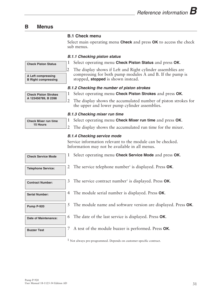# **B Menus**

## **B.1 Check menu**

Select main operating menu **Check** and press **OK** to access the check sub menus.

## **B.1.1 Checking piston status**

|  |  |  |  | 1 Select operating menu Check Piston Status and press OK. |  |  |  |  |
|--|--|--|--|-----------------------------------------------------------|--|--|--|--|
|--|--|--|--|-----------------------------------------------------------|--|--|--|--|

2 The display shows if Left and Right cylinder assemblies are compressing for both pump modules A and B. If the pump is stopped, **stopped** is shown instead.

## **B.1.2 Checking the number of piston strokes**

**Check Piston Strokes A 123456789, B 2398**

**A Left compressing B Right compressing**

**Check Piston Status**

**Check Mixer run time 15 Hours**

1 1 Select operating menu **Check Piston Strokes** and press **OK**.

## 2 The display shows the accumulated number of piston strokes for the upper and lower pump cylinder assemblies.

## **B.1.3 Checking mixer run time**

- 1 1 Select operating menu **Check Mixer run time** and press **OK**.
- 2 The display shows the accumulated run time for the mixer.

# **B.1.4 Checking service mode**

Service information relevant to the module can be checked. Information may not be available in all menus.



1 Not always pre-programmed. Depends on customer-specific contract.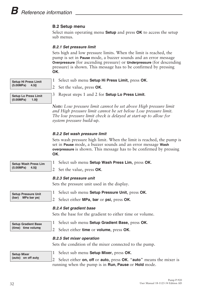### **B.2 Setup menu**

Select main operating menu **Setup** and press **OK** to access the setup sub menus.

#### **B.2.1 Set pressure limit**

Sets high and low pressure limits. When the limit is reached, the pump is set in **Pause** mode, a buzzer sounds and an error message **Overpressure** (for ascending pressure) or **Underpressure** (for descending pressure) is shown. This message has to be confirmed by pressing **OK**.

| <b>Setup Hi Press Limit</b>                             | Select sub menu Setup Hi Press Limit, press OK.       |  |  |  |  |
|---------------------------------------------------------|-------------------------------------------------------|--|--|--|--|
| (5.00MPa)<br>4.50                                       | 2 Set the value, press $OK.$                          |  |  |  |  |
| 13.<br><b>Setup Lo Press Limit</b><br>(0.00MPa)<br>1.00 | Repeat steps 1 and 2 for <b>Setup Lo Press Limit.</b> |  |  |  |  |

*Note: Low pressure limit cannot be set above High pressure limit and High pressure limit cannot be set below Low pressure limit. The low pressure limit check is delayed at start-up to allow for system pressure build-up.*

#### **B.2.2 Set wash pressure limit**

Sets wash pressure high limit. When the limit is reached, the pump is set in **Pause** mode, a buzzer sounds and an error message **Wash overpressure** is shown. This message has to be confirmed by pressing **OK**.



1 Select sub menu **Setup Wash Press Lim**, press **OK**.

2 Set the value, press **OK**.

#### **B.2.3 Set pressure unit**

Sets the pressure unit used in the display.

**Setup Pressure Unit (bar) MPa bar psi**

**Setup Gradient Base (time) time volume**

- 1 Select sub menu **Setup Pressure Unit**, press **OK**.
- 2 Select either **MPa**, **bar** or **psi**, press **OK**.

#### **B.2.4 Set gradient base**

Sets the base for the gradient to either time or volume.

1 Select sub menu **Setup Gradient Base**, press **OK**.

2 Select either **time** or **volume**, press **OK**.

#### **B.2.5 Set mixer operation**

Sets the condition of the mixer connected to the pump.

**Setup Mixer (auto) on off auto** 1 Select sub menu **Setup Mixer**, press **OK**.

2 Select either **on, off** or **auto**, press **OK**. "**auto**" means the mixer is running when the pump is in **Run, Pause** or **Hold** mode.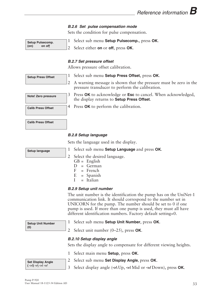## **B.2.6 Set pulse compensation mode**

Sets the condition for pulse compensation.

**Setup Pulsecomp. (on) on off**

**Setup Press Offset**

- 1 Select sub menu **Setup Pulsecomp.**, press **OK**.
- 2 Select either **on** or **off**, press **OK**.

#### **B.2.7 Set pressure offset**

Allows pressure offset calibration.

1 Select sub menu **Setup Press Offset**, press **OK**.

2 A warning message is shown that the pressure must be zero in the pressure transducer to perform the calibration.

3 Press **OK** to acknowledge or **Esc** to cancel. When acknowledged, the display returns to **Setup Press Offset**.

4 Press **OK** to perform the calibration.

#### **B.2.8 Setup language**

Sets the language used in the display.

1 Select sub menu **Setup Language** and press **OK**.

**Setup language**

**Calib Press Offset**

- 2 Select the desired language.
	- $GB =$  English
	- $D = German$
	- $F =$  French
	- $E =$  Spanish
	- $I =$ Italian

## **B.2.9 Setup unit number**

The unit number is the identification the pump has on the UniNet-1 communication link. It should correspond to the number set in UNICORN for the pump. The number should be set to 0 if one pump is used. If more than one pump is used, they must all have different identification numbers. Factory default setting=0.

**Setup Unit Number (0)**

- 1 Select sub menu **Setup Unit Number**, press **OK**.
- 2 Select unit number (0–25), press **OK**.

## **B.2.10 Setup display angle**

Sets the display angle to compensate for different viewing heights.

1 Select main menu **Setup**, press **OK**.

**Set Display Angle ( ->|) ->\ ->| ->/**

- 2 Select sub menu **Set Display Angle,** press **OK**.
- 3 Select display angle (**->\** Up, **->|** Mid or **->/** Down), press **OK**.

**Calib Press Offset Note! Zero pressure**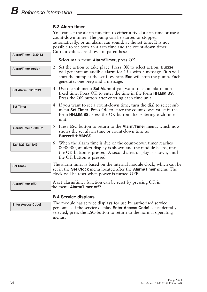## **B.3 Alarm timer**

You can set the alarm function to either a fixed alarm time or use a count-down timer. The pump can be started or stopped automatically, or an alarm can sound, at the set time. It is not possible to set both an alarm time and the count-down timer. Current values are shown in parentheses.

| <b>Alarm/Timer 12:30:52</b> |              | Current values are snown in parentneses.                                                                                                                                                                                                                    |
|-----------------------------|--------------|-------------------------------------------------------------------------------------------------------------------------------------------------------------------------------------------------------------------------------------------------------------|
|                             | $\mathbf{1}$ | Select main menu Alarm/Timer, press OK.                                                                                                                                                                                                                     |
| <b>Alarm/Timer Action</b>   | 2            | Set the action to take place. Press OK to select action. Buzzer<br>will generate an audible alarm for 15 s with a message. <b>Run</b> will<br>start the pump at the set flow rate. <b>End</b> will stop the pump. Each<br>generates one beep and a message. |
| Set Alarm 12:32:21          | 3            | Use the sub menu <b>Set Alarm</b> if you want to set an alarm at a<br>fixed time. Press OK to enter the time in the form <b>HH.MM.SS.</b><br>Press the OK button after entering each time unit.                                                             |
| <b>Set Timer</b>            | 4            | If you want to set a count-down time, turn the dial to select sub<br>menu Set Timer. Press OK to enter the count-down value in the<br>form HH.MM.SS. Press the OK button after entering each time<br>unit.                                                  |
| <b>Alarm/Timer 12:30:52</b> | 5            | Press ESC button to return to the <b>Alarm/Timer</b> menu, which now<br>shows the set alarm time or count-down time as<br>BuzzerHH:MM:SS.                                                                                                                   |
| 12:41:29 12:41:49           | 6            | When the alarm time is due or the count-down timer reaches<br>00:00:00, an alert display is shown and the module beeps, until<br>the OK button is pressed. A second alert display is shown, until<br>the OK button is pressed                               |
| <b>Set Clock</b>            |              | The alarm timer is based on the internal module clock, which can be<br>set in the Set Clock menu located after the Alarm/Timer menu. The<br>clock will be reset when power is turned OFF.                                                                   |
| Alarm/Timer off?            |              | A set alarm/timer function can be reset by pressing OK in<br>the menu Alarm/Timer off?                                                                                                                                                                      |
|                             |              | <b>B.4 Service displays</b>                                                                                                                                                                                                                                 |

**Enter Access Code!**

The module has service displays for use by authorised service personnel. If the service display **Enter Access Code!** is accidentally selected, press the ESC-button to return to the normal operating menus.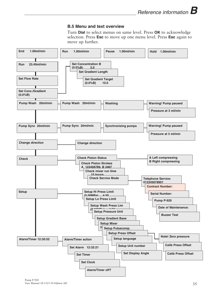#### **B.5 Menu and text overview**

Turn **Dial** to select menus on same level. Press **OK** to acknowledge selection. Press **Esc** to move up one menu level. Press **Esc** again to move up further.

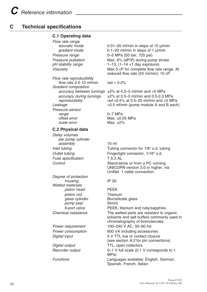# **C Technical specifications**

#### **C.1 Operating data**

| Flow rate range    |                                                                                   |
|--------------------|-----------------------------------------------------------------------------------|
| isocratic mode     | 0.01–20 ml/min in steps of 10 $\mu$ l/min                                         |
| gradient mode      | 0.1-20 ml/min in steps of 1 $\mu$ l/min                                           |
| Pressure range     | 0-5 MPa (50 bar, 725 psi)                                                         |
| Pressure pulsation | Max. 6% (dP/P) during pump stroke                                                 |
| pH stability range | $1-13$ , $(1-14 < 1$ day exposure)                                                |
| Viscosity          | Max 5 cP for complete flow rate range. At<br>reduced flow rate (£5 ml/min); 10 cP |

Flow rate reproducibility flow rate  $0.5$ -10 ml/min rsd <  $0.2\%$ Gradient composition Pressure sensor range 0–7 MPa offset error Max. ±0.05 MPa scale error  $\text{Max. } \pm 2\%$ 

### **C.2 Physical data**

Delay volumes per pump cylinder assembly 10 ml Fuse specification T 6.3 AL

Degree of protection housing IP 20 Wetted materials piston head PEEK piston rod Fitanium<br>glass cylinder Borosilica pump seal Simriz

accuracy between turnings  $\pm 2\%$  at 0.5–5 ml/min and <5 MPa accuracy during turnings  $\pm 2\%$  at 0.5–5 ml/min and 0.5-2.0 MPa reproducibility rsd <0.5% at 0.5–20 ml/min and <5 MPa Leakage <0.5 ml/min (pump module A and B each)

Inlet tubing Tubing connector for 1/8" o.d. tubing Outlet tubing Fingertight connector, 1/16" o.d. Control Stand-alone or from a PC running UNICORN version 3.0 or higher, via UniNet 1 cable connection.

Borosilicate glass 6-port valve PEEK, titanium and ruby/sapphire. Chemical resistance The wetted parts are resistant to organic solvents and salt buffers commonly used in chromatography of biomolecules. Power requirement 100–240 V AC, 50–60 Hz Power consumption 600 VA including accessories Digital input 5 V TTL low or contact closure (see section A.2 for pin connections) Digital output TTL, open collectors Recorder output 0–1 V full scale (0.1 V corresponds to 1 MPa) Functions Languages available; English, German, Spanish, French, Italian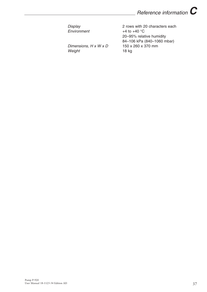| Display               | 2 rows with 20 characters each |
|-----------------------|--------------------------------|
| Environment           | +4 to +40 $^{\circ}$ C         |
|                       | 20-95% relative humidity       |
|                       | 84-106 kPa (840-1060 mbar)     |
| Dimensions, H x W x D | 150 x 260 x 370 mm             |
| Weight                | 18 kg                          |
|                       |                                |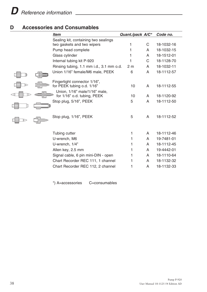# **D Accessories and Consumables**

|      | <b>Item</b>                                                        | Quant./pack A/C* |   | Code no.   |  |
|------|--------------------------------------------------------------------|------------------|---|------------|--|
|      | Sealing kit, containing two sealings<br>two gaskets and two wipers | 1                | С | 18-1032-16 |  |
|      | Pump head complete                                                 | 1                | A | 18-1032-15 |  |
|      | Glass cylinder                                                     | 1                | A | 18-1512-01 |  |
|      | Internal tubing kit P-920                                          | 1                | C | 18-1128-70 |  |
|      | Rinsing tubing, 1.1 mm i.d., 3.1 mm o.d.                           | 2 <sub>m</sub>   | A | 18-1032-11 |  |
|      | Union 1/16" female/M6 male, PEEK                                   | 6                | A | 18-1112-57 |  |
|      | Fingertight connector 1/16",<br>for PEEK tubing o.d. 1/16"         | 10 <sup>1</sup>  | A | 18-1112-55 |  |
|      | Union, 1/16" male/1/16" male,<br>for 1/16" o.d. tubing, PEEK       | 10               | A | 18-1120-92 |  |
| II N | Stop plug, 5/16", PEEK                                             | 5                | A | 18-1112-50 |  |
|      | Stop plug, 1/16", PEEK                                             | 5                | A | 18-1112-52 |  |
|      | Tubing cutter                                                      | 1                | A | 18-1112-46 |  |
|      | U-wrench, M6                                                       | 1                | A | 19-7481-01 |  |
|      | U-wrench, 1/4"                                                     | 1                | A | 18-1112-45 |  |
|      | Allen key, 2.5 mm                                                  | 1                | A | 19-4442-01 |  |
|      | Signal cable, 6 pin mini-DIN - open                                | 1                | A | 18-1110-64 |  |
|      | Chart Recorder REC 111, 1 channel                                  | 1                | A | 18-1132-32 |  |
|      | Chart Recorder REC 112, 2 channel                                  | 1                | A | 18-1132-33 |  |

\*) A=accessories C=consumables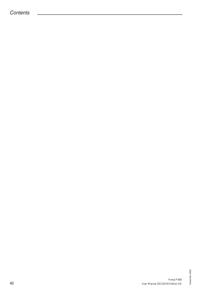**Contents**